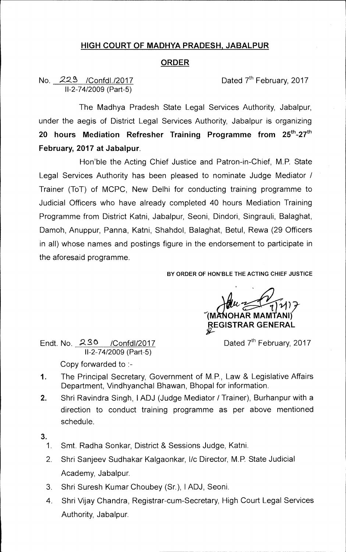## **HIGH COURT OF MADHYA PRADESH, JABALPUR**

## **ORDER**

No. 229 /Confdl./2017 Dated 7<sup>th</sup> February, 2017 11-2-74/2009 (Part-5)

The Madhya Pradesh State Legal Services Authority, Jabalpur, under the aegis of District Legal Services Authority, Jabalpur is organizing **20 hours Mediation Refresher Training Programme from 25th-27th February, 2017 at Jabalpur.** 

Hon'ble the Acting Chief Justice and Patron-in-Chief, M.P. State Legal Services Authority has been pleased to nominate Judge Mediator / Trainer (ToT) of MCPC, New Delhi for conducting training programme to Judicial Officers who have already completed 40 hours Mediation Training Programme from District Katni, Jabalpur, Seoni, Dindori, Singrauli, Balaghat, Damoh, Anuppur, Panna, Katni, Shahdol, Balaghat, Betul, Rewa (29 Officers in all) whose names and postings figure in the endorsement to participate in the aforesaid programme.

**BY ORDER OF HON'BLE THE ACTING CHIEF JUSTICE** 

**1\_1 11 ) OHAR MAMTANI) REGISTRAR GENERAL** 

Endt. No.  $230$  /Confdl/2017 Dated 7<sup>th</sup> February, 2017 11-2-74/2009 (Part-5) Copy forwarded to :-

- 1. The Principal Secretary, Government of M.P., Law & Legislative Affairs Department, Vindhyanchal Bhawan, Bhopal for information.
- 2. Shri Ravindra Singh, I ADJ (Judge Mediator / Trainer), Burhanpur with a direction to conduct training programme as per above mentioned schedule.
- **3.** 
	- 1. Smt. Radha Sonkar, District & Sessions Judge, Katni.
	- 2. Shri Sanjeev Sudhakar Kalgaonkar, l/c Director, M.P. State Judicial Academy, Jabalpur.
	- 3. Shri Suresh Kumar Choubey (Sr.), 1ADJ, Seoni.
	- 4. Shri Vijay Chandra, Registrar-cum-Secretary, High Court Legal Services Authority, Jabalpur.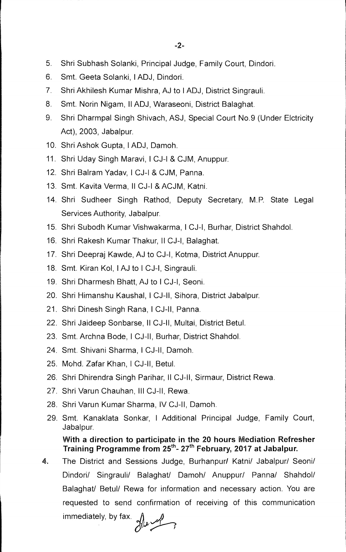- 5. Shri Subhash Solanki, Principal Judge, Family Court, Dindori.
- 6. Smt. Geeta Solanki, **I** ADJ, Dindori.
- 7. Shri Akhilesh Kumar Mishra, AJ to I ADJ, District Singrauli.
- 8. Smt. Norin Nigam, II ADJ, Waraseoni, District Balaghat.
- 9. Shri Dharmpal Singh Shivach, ASJ, Special Court No.9 (Under Elctricity Act), 2003, Jabalpur.
- 10. Shri Ashok Gupta, I ADJ, Damoh.
- 11. Shri Uday Singh Maravi, I CJ-I & CJM, Anuppur.
- 12. Shri Balram Yadav, I CJ-I & CJM, Panna.
- 13. Smt. Kavita Verma, **II** CJ-I & ACJM, Katni.
- 14. Shri Sudheer Singh Rathod, Deputy Secretary, M.P. State Legal Services Authority, Jabalpur.
- 15. Shri Subodh Kumar Vishwakarma, I CJ-I, Burhar, District Shahdol.
- 16. Shri Rakesh Kumar Thakur, II CJ-I, Balaghat.
- 17. Shri Deepraj Kawde, AJ to CJ-I, Kotma, District Anuppur.
- 18. Smt. Kiran Kol, **I** AJ to I CJ-I, Singrauli.
- 19. Shri Dharmesh Bhatt, AJ to I CJ-I, Seoni.
- 20. Shri Himanshu Kaushal, I CJ-II, Sihora, District Jabalpur.
- 21. Shri Dinesh Singh Rana, I CJ-II, Panna.
- 22. Shri Jaideep Sonbarse, II CJ-II, Multai, District Betul.
- 23. Smt. Archna Bode, I CJ-II, Burhar, District Shahdol.
- 24. Smt. Shivani Sharma, I CJ-II, Damoh.
- 25. Mohd. Zafar Khan, I CJ-II, Betul.
- 26. Shri Dhirendra Singh Parihar, II CJ-II, Sirmaur, District Rewa.
- 27. Shri Varun Chauhan, Ill CJ-II, Rewa.
- 28. Shri Varun Kumar Sharma, IV CJ-II, Damoh.
- 29. Smt. Kanaklata Sonkar, I Additional Principal Judge, Family Court, Jabalpur.

## **With a direction to participate in the 20 hours Mediation Refresher**  Training Programme from 25<sup>th</sup>- 27<sup>th</sup> February, 2017 at Jabalpur.

**4.** The District and Sessions Judge, Burhanpur/ Katni/ Jabalpur/ Seoni/ Dindori/ Singrauli/ Balaghat/ Damoh/ Anuppur/ Panna/ Shahdol/ Balaghat/ Betul/ Rewa for information and necessary action. You are requested to send confirmation of receiving of this communication

immediately, by fax.  $\mathcal{W}$